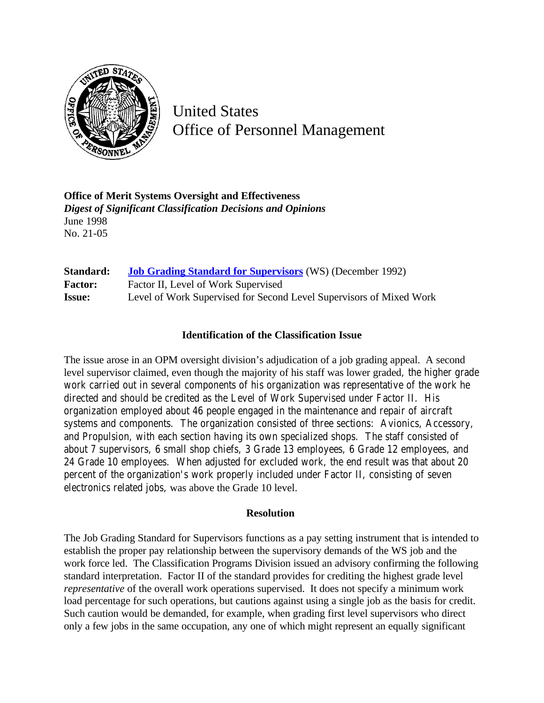

United States Office of Personnel Management

**Office of Merit Systems Oversight and Effectiveness** *Digest of Significant Classification Decisions and Opinions* June 1998 No. 21-05

| Standard:      | <b>Job Grading Standard for Supervisors</b> (WS) (December 1992)    |
|----------------|---------------------------------------------------------------------|
| <b>Factor:</b> | Factor II, Level of Work Supervised                                 |
| <b>Issue:</b>  | Level of Work Supervised for Second Level Supervisors of Mixed Work |

## **Identification of the Classification Issue**

The issue arose in an OPM oversight division's adjudication of a job grading appeal. A second level supervisor claimed, even though the majority of his staff was lower graded, the higher grade work carried out in several components of his organization was representative of the work he directed and should be credited as the Level of Work Supervised under Factor II. His organization employed about 46 people engaged in the maintenance and repair of aircraft systems and components. The organization consisted of three sections: Avionics, Accessory, and Propulsion, with each section having its own specialized shops. The staff consisted of about 7 supervisors, 6 small shop chiefs, 3 Grade 13 employees, 6 Grade 12 employees, and 24 Grade 10 employees. When adjusted for excluded work, the end result was that about 20 percent of the organization's work properly included under Factor II, consisting of seven electronics related jobs, was above the Grade 10 level.

## **Resolution**

The Job Grading Standard for Supervisors functions as a pay setting instrument that is intended to establish the proper pay relationship between the supervisory demands of the WS job and the work force led. The Classification Programs Division issued an advisory confirming the following standard interpretation. Factor II of the standard provides for crediting the highest grade level *representative* of the overall work operations supervised. It does not specify a minimum work load percentage for such operations, but cautions against using a single job as the basis for credit. Such caution would be demanded, for example, when grading first level supervisors who direct only a few jobs in the same occupation, any one of which might represent an equally significant